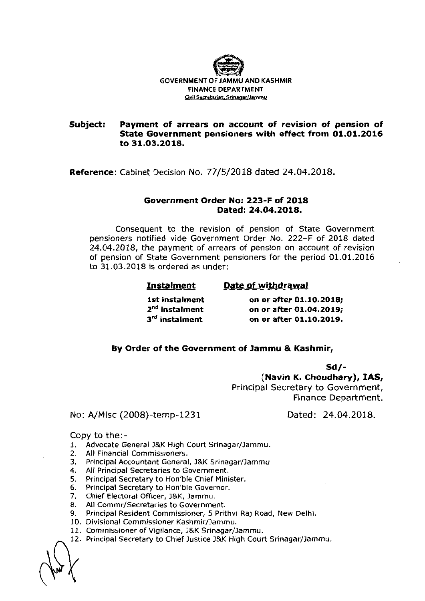

### **Subject: Payment of arrears on account of revision of pension of State Government pensioners with effect from 01.01.2016 to 31.03.2018.**

**Reference:** Cabinet Decision No. 77/5/2018 dated 24.04.2018.

### **Government Order No: 223-F of 2018 Dated: 24.04.2018.**

Consequent to the revision of pension of State Government pensioners notified vide Government Order No. 222-F of 2018 dated 24.04.2018, the payment of arrears of pension on account of revision of pension of State Government pensioners for the period 01.01.2016 to 31.03.2018 is ordered as under:

# **Instalment Date of withdrawal**

**1st instalment** on or after 01.10.2018;<br> **2<sup>nd</sup> instalment** on or after 01.04.2019; **z<sup>nd</sup> instalment** on or after 01.04.2019;<br>3<sup>rd</sup> instalment on or after 01.10.2019. **3'd instalment on or after 01.10.2019.** 

## **By Order of the Government of Jammu** & **Kashmir,**

**Sd/-** 

**(Navin K. Choudhary), IAS,**  Principal Secretary to Government, Finance Department.

## No: **A/Misc** (2008)-temp-1231 Dated: 24.04.2018.

Copy to the:-

- 1. Advocate General J&K High Court Srinagar/Jammu.<br>2. All Financial Commissioners.
- All Financial Commissioners.
- 3. Principal Accountant General, J&K Srinagar/Jammu.
- **4.** All Principal Secretaries to Government.
- **5.** Principal Secretary to Hon'ble Chief Minister.
- **6.** Principal Secretary to Hon'ble Governor.
- **7.** Chief Electoral Officer, J&K, Jamrnu.
- 8. All Commr/Secretaries to Government.
- 9. Principal Resident Commissioner, 5 Prithvi Raj Road, New Delhi.
- 10. Divisional Commissioner Kashrnir/Jammu.
- 11. Commissioner of Vigilance, J&K Srinagar/Jammu.
- 12. Principal Secretary to Chief Justice J&K High Court Srinagar/Jammu.